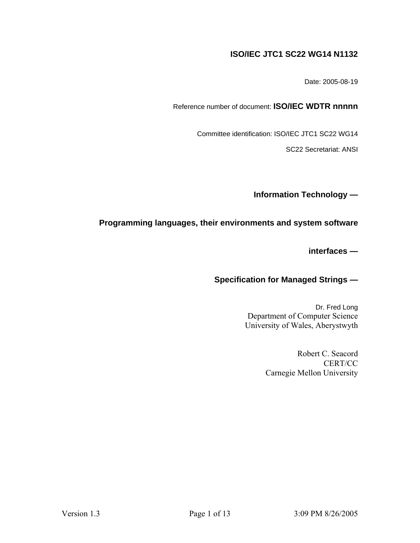# **ISO/IEC JTC1 SC22 WG14 N1132**

Date: 2005-08-19

Reference number of document: **ISO/IEC WDTR nnnnn** 

Committee identification: ISO/IEC JTC1 SC22 WG14

SC22 Secretariat: ANSI

**Information Technology —** 

# **Programming languages, their environments and system software**

**interfaces —** 

# **Specification for Managed Strings —**

Dr. Fred Long Department of Computer Science University of Wales, Aberystwyth

> Robert C. Seacord CERT/CC Carnegie Mellon University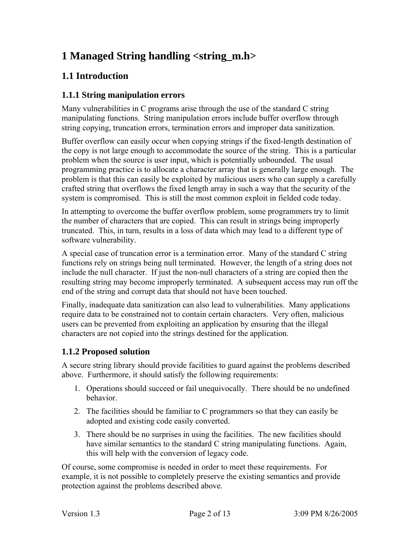# **1 Managed String handling <string\_m.h>**

# **1.1 Introduction**

# **1.1.1 String manipulation errors**

Many vulnerabilities in C programs arise through the use of the standard C string manipulating functions. String manipulation errors include buffer overflow through string copying, truncation errors, termination errors and improper data sanitization.

Buffer overflow can easily occur when copying strings if the fixed-length destination of the copy is not large enough to accommodate the source of the string. This is a particular problem when the source is user input, which is potentially unbounded. The usual programming practice is to allocate a character array that is generally large enough. The problem is that this can easily be exploited by malicious users who can supply a carefully crafted string that overflows the fixed length array in such a way that the security of the system is compromised. This is still the most common exploit in fielded code today.

In attempting to overcome the buffer overflow problem, some programmers try to limit the number of characters that are copied. This can result in strings being improperly truncated. This, in turn, results in a loss of data which may lead to a different type of software vulnerability.

A special case of truncation error is a termination error. Many of the standard C string functions rely on strings being null terminated. However, the length of a string does not include the null character. If just the non-null characters of a string are copied then the resulting string may become improperly terminated. A subsequent access may run off the end of the string and corrupt data that should not have been touched.

Finally, inadequate data sanitization can also lead to vulnerabilities. Many applications require data to be constrained not to contain certain characters. Very often, malicious users can be prevented from exploiting an application by ensuring that the illegal characters are not copied into the strings destined for the application.

# **1.1.2 Proposed solution**

A secure string library should provide facilities to guard against the problems described above. Furthermore, it should satisfy the following requirements:

- 1. Operations should succeed or fail unequivocally. There should be no undefined behavior.
- 2. The facilities should be familiar to C programmers so that they can easily be adopted and existing code easily converted.
- 3. There should be no surprises in using the facilities. The new facilities should have similar semantics to the standard C string manipulating functions. Again, this will help with the conversion of legacy code.

Of course, some compromise is needed in order to meet these requirements. For example, it is not possible to completely preserve the existing semantics and provide protection against the problems described above.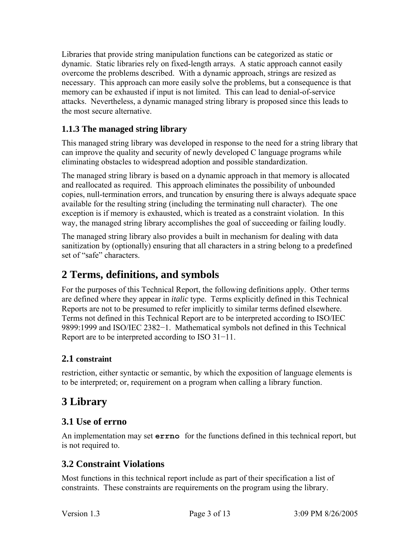Libraries that provide string manipulation functions can be categorized as static or dynamic. Static libraries rely on fixed-length arrays. A static approach cannot easily overcome the problems described. With a dynamic approach, strings are resized as necessary. This approach can more easily solve the problems, but a consequence is that memory can be exhausted if input is not limited. This can lead to denial-of-service attacks. Nevertheless, a dynamic managed string library is proposed since this leads to the most secure alternative.

# **1.1.3 The managed string library**

This managed string library was developed in response to the need for a string library that can improve the quality and security of newly developed C language programs while eliminating obstacles to widespread adoption and possible standardization.

The managed string library is based on a dynamic approach in that memory is allocated and reallocated as required. This approach eliminates the possibility of unbounded copies, null-termination errors, and truncation by ensuring there is always adequate space available for the resulting string (including the terminating null character). The one exception is if memory is exhausted, which is treated as a constraint violation. In this way, the managed string library accomplishes the goal of succeeding or failing loudly.

The managed string library also provides a built in mechanism for dealing with data sanitization by (optionally) ensuring that all characters in a string belong to a predefined set of "safe" characters.

# **2 Terms, definitions, and symbols**

For the purposes of this Technical Report, the following definitions apply. Other terms are defined where they appear in *italic* type. Terms explicitly defined in this Technical Reports are not to be presumed to refer implicitly to similar terms defined elsewhere. Terms not defined in this Technical Report are to be interpreted according to ISO/IEC 9899:1999 and ISO/IEC 2382−1. Mathematical symbols not defined in this Technical Report are to be interpreted according to ISO 31−11.

# **2.1 constraint**

restriction, either syntactic or semantic, by which the exposition of language elements is to be interpreted; or, requirement on a program when calling a library function.

# **3 Library**

# **3.1 Use of errno**

An implementation may set **errno** for the functions defined in this technical report, but is not required to.

# **3.2 Constraint Violations**

Most functions in this technical report include as part of their specification a list of constraints. These constraints are requirements on the program using the library.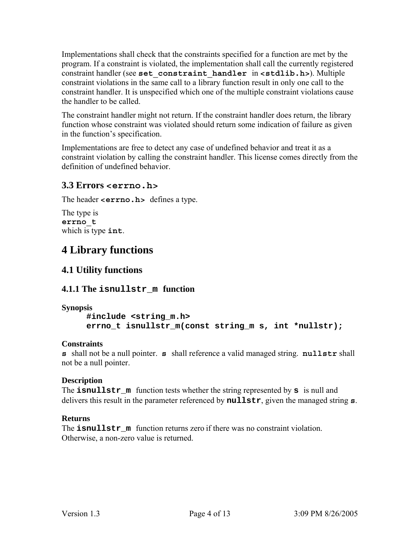Implementations shall check that the constraints specified for a function are met by the program. If a constraint is violated, the implementation shall call the currently registered constraint handler (see **set\_constraint\_handler** in **<stdlib.h>**). Multiple constraint violations in the same call to a library function result in only one call to the constraint handler. It is unspecified which one of the multiple constraint violations cause the handler to be called.

The constraint handler might not return. If the constraint handler does return, the library function whose constraint was violated should return some indication of failure as given in the function's specification.

Implementations are free to detect any case of undefined behavior and treat it as a constraint violation by calling the constraint handler. This license comes directly from the definition of undefined behavior.

# **3.3 Errors <errno.h>**

The header **<errno.h>** defines a type.

The type is **errno\_t**  which is type **int**.

# **4 Library functions**

# **4.1 Utility functions**

# **4.1.1 The isnullstr\_m function**

#### **Synopsis**

**#include <string\_m.h> errno\_t isnullstr\_m(const string\_m s, int \*nullstr);** 

# **Constraints**

**s** shall not be a null pointer. **s** shall reference a valid managed string. **nullstr** shall not be a null pointer.

# **Description**

The **isnullstr\_m** function tests whether the string represented by **s** is null and delivers this result in the parameter referenced by **nullstr**, given the managed string **s**.

# **Returns**

The **isnullstr** m function returns zero if there was no constraint violation. Otherwise, a non-zero value is returned.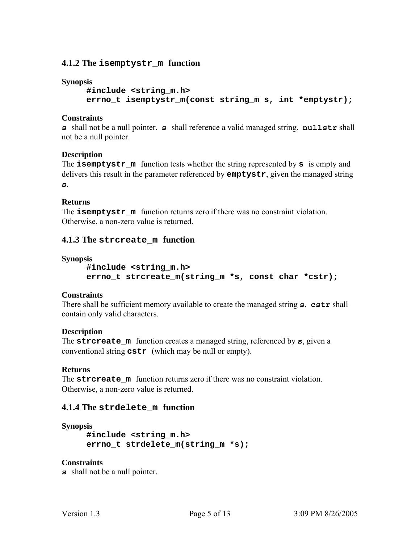### **4.1.2 The isemptystr\_m function**

#### **Synopsis**

**#include <string\_m.h> errno\_t isemptystr\_m(const string\_m s, int \*emptystr);** 

#### **Constraints**

**s** shall not be a null pointer. **s** shall reference a valid managed string. **nullstr** shall not be a null pointer.

#### **Description**

The **isemptystr\_m** function tests whether the string represented by **s** is empty and delivers this result in the parameter referenced by **emptystr**, given the managed string **s**.

#### **Returns**

The **isemptystr** m function returns zero if there was no constraint violation. Otherwise, a non-zero value is returned.

#### **4.1.3 The strcreate\_m function**

#### **Synopsis**

```
#include <string_m.h> 
errno_t strcreate_m(string_m *s, const char *cstr);
```
#### **Constraints**

There shall be sufficient memory available to create the managed string **s**. **cstr** shall contain only valid characters.

#### **Description**

The **strcreate\_m** function creates a managed string, referenced by **s**, given a conventional string **cstr** (which may be null or empty).

#### **Returns**

The **strcreate** m function returns zero if there was no constraint violation. Otherwise, a non-zero value is returned.

#### **4.1.4 The strdelete\_m function**

#### **Synopsis**

**#include <string\_m.h> errno\_t strdelete\_m(string\_m \*s);** 

#### **Constraints**

**s** shall not be a null pointer.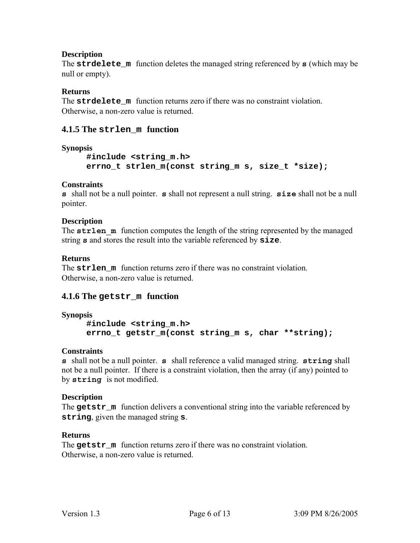# **Description**

The **strdelete\_m** function deletes the managed string referenced by **s** (which may be null or empty).

# **Returns**

The **strdelete** m function returns zero if there was no constraint violation. Otherwise, a non-zero value is returned.

# **4.1.5 The strlen\_m function**

### **Synopsis**

```
#include <string_m.h> 
errno_t strlen_m(const string_m s, size_t *size);
```
### **Constraints**

**s** shall not be a null pointer. **s** shall not represent a null string. **size** shall not be a null pointer.

### **Description**

The **strlen** m function computes the length of the string represented by the managed string **s** and stores the result into the variable referenced by **size**.

### **Returns**

The **strlen** m function returns zero if there was no constraint violation. Otherwise, a non-zero value is returned.

# **4.1.6 The getstr\_m function**

#### **Synopsis**

```
#include <string_m.h> 
errno_t getstr_m(const string_m s, char **string);
```
#### **Constraints**

**s** shall not be a null pointer. **s** shall reference a valid managed string. **string** shall not be a null pointer. If there is a constraint violation, then the array (if any) pointed to by **string** is not modified.

#### **Description**

The **getstr\_m** function delivers a conventional string into the variable referenced by **string**, given the managed string **s**.

#### **Returns**

The **getstr** m function returns zero if there was no constraint violation. Otherwise, a non-zero value is returned.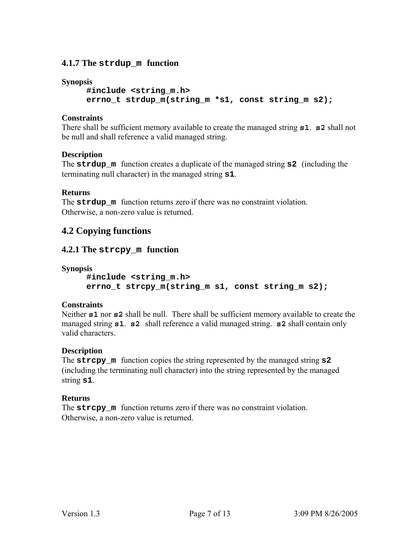# **4.1.7 The strdup\_m function**

#### **Synopsis**

**#include <string\_m.h> errno\_t strdup\_m(string\_m \*s1, const string\_m s2);** 

### **Constraints**

There shall be sufficient memory available to create the managed string **s1**. **s2** shall not be null and shall reference a valid managed string.

### **Description**

The **strdup\_m** function creates a duplicate of the managed string **s2** (including the terminating null character) in the managed string **s1**.

### **Returns**

The **strdup** m function returns zero if there was no constraint violation. Otherwise, a non-zero value is returned.

# **4.2 Copying functions**

# **4.2.1 The strcpy\_m function**

**Synopsis** 

**#include <string\_m.h> errno\_t strcpy\_m(string\_m s1, const string\_m s2);** 

#### **Constraints**

Neither **s1** nor **s2** shall be null. There shall be sufficient memory available to create the managed string **s1**. **s2** shall reference a valid managed string. **s2** shall contain only valid characters.

#### **Description**

The **strcpy\_m** function copies the string represented by the managed string **s2**  (including the terminating null character) into the string represented by the managed string **s1**.

#### **Returns**

The **strcpy** m function returns zero if there was no constraint violation. Otherwise, a non-zero value is returned.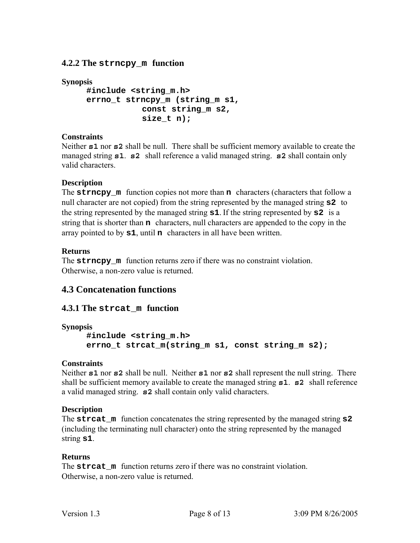**4.2.2 The strncpy\_m function** 

```
Synopsis 
     #include <string_m.h> 
     errno_t strncpy_m (string_m s1, 
                 const string_m s2, 
                 size_t n);
```
# **Constraints**

Neither **s1** nor **s2** shall be null. There shall be sufficient memory available to create the managed string **s1**. **s2** shall reference a valid managed string. **s2** shall contain only valid characters.

# **Description**

The **strncpy\_m** function copies not more than **n** characters (characters that follow a null character are not copied) from the string represented by the managed string **s2** to the string represented by the managed string **s1**. If the string represented by **s2** is a string that is shorter than **n** characters, null characters are appended to the copy in the array pointed to by **s1**, until **n** characters in all have been written.

# **Returns**

The **strncpy** m function returns zero if there was no constraint violation. Otherwise, a non-zero value is returned.

# **4.3 Concatenation functions**

# **4.3.1 The strcat\_m function**

**Synopsis** 

```
#include <string_m.h> 
errno_t strcat_m(string_m s1, const string_m s2);
```
# **Constraints**

Neither **s1** nor **s2** shall be null. Neither **s1** nor **s2** shall represent the null string. There shall be sufficient memory available to create the managed string **s1**. **s2** shall reference a valid managed string. **s2** shall contain only valid characters.

# **Description**

The **strcat** m function concatenates the string represented by the managed string **s2** (including the terminating null character) onto the string represented by the managed string **s1**.

# **Returns**

The **streat** m function returns zero if there was no constraint violation. Otherwise, a non-zero value is returned.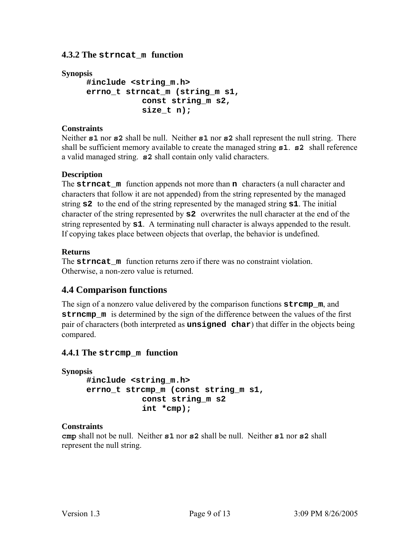# **4.3.2 The strncat\_m function**

### **Synopsis**

```
#include <string_m.h> 
errno_t strncat_m (string_m s1, 
            const string_m s2, 
            size_t n);
```
### **Constraints**

Neither **s1** nor **s2** shall be null. Neither **s1** nor **s2** shall represent the null string. There shall be sufficient memory available to create the managed string **s1**. **s2** shall reference a valid managed string. **s2** shall contain only valid characters.

### **Description**

The **strncat\_m** function appends not more than **n** characters (a null character and characters that follow it are not appended) from the string represented by the managed string **s2** to the end of the string represented by the managed string **s1**. The initial character of the string represented by **s2** overwrites the null character at the end of the string represented by **s1**. A terminating null character is always appended to the result. If copying takes place between objects that overlap, the behavior is undefined.

### **Returns**

The **strncat** m function returns zero if there was no constraint violation. Otherwise, a non-zero value is returned.

# **4.4 Comparison functions**

The sign of a nonzero value delivered by the comparison functions **strcmp\_m**, and **strncmp\_m** is determined by the sign of the difference between the values of the first pair of characters (both interpreted as **unsigned char**) that differ in the objects being compared.

# **4.4.1 The strcmp\_m function**

```
Synopsis 
     #include <string_m.h> 
     errno_t strcmp_m (const string_m s1, 
                 const string_m s2 
                 int *cmp);
```
#### **Constraints**

**cmp** shall not be null. Neither **s1** nor **s2** shall be null. Neither **s1** nor **s2** shall represent the null string.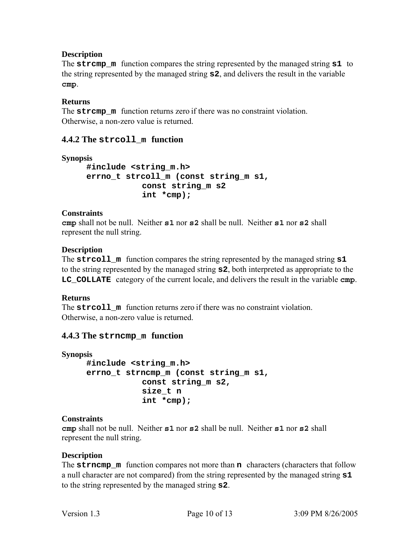# **Description**

The **strcmp\_m** function compares the string represented by the managed string **s1** to the string represented by the managed string **s2**, and delivers the result in the variable **cmp**.

# **Returns**

The **stramp** m function returns zero if there was no constraint violation. Otherwise, a non-zero value is returned.

# **4.4.2 The strcoll\_m function**

```
Synopsis
```
**#include <string\_m.h> errno\_t strcoll\_m (const string\_m s1, const string\_m s2 int \*cmp);** 

# **Constraints**

**cmp** shall not be null. Neither **s1** nor **s2** shall be null. Neither **s1** nor **s2** shall represent the null string.

# **Description**

The **strcoll\_m** function compares the string represented by the managed string **s1**  to the string represented by the managed string **s2**, both interpreted as appropriate to the **LC\_COLLATE** category of the current locale, and delivers the result in the variable **cmp**.

# **Returns**

The **streoll** m function returns zero if there was no constraint violation. Otherwise, a non-zero value is returned.

# **4.4.3 The strncmp\_m function**

```
Synopsis 
     #include <string_m.h> 
     errno_t strncmp_m (const string_m s1, 
                 const string_m s2, 
                 size_t n 
                 int *cmp);
```
# **Constraints**

**cmp** shall not be null. Neither **s1** nor **s2** shall be null. Neither **s1** nor **s2** shall represent the null string.

# **Description**

The **strncmp m** function compares not more than **n** characters (characters that follow a null character are not compared) from the string represented by the managed string **s1**  to the string represented by the managed string **s2**.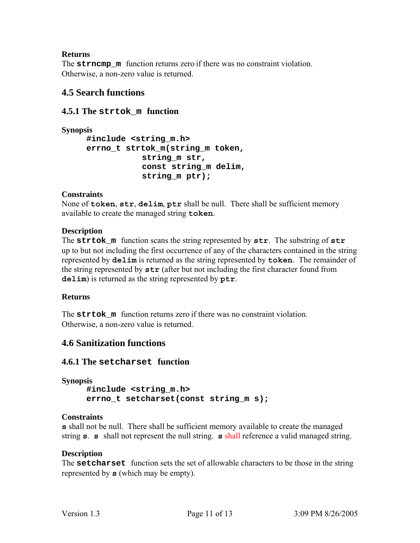# **Returns**

The **strncmp** m function returns zero if there was no constraint violation. Otherwise, a non-zero value is returned.

# **4.5 Search functions**

# **4.5.1 The strtok\_m function**

```
Synopsis 
     #include <string_m.h> 
     errno_t strtok_m(string_m token, 
                 string_m str, 
                 const string_m delim, 
                 string_m ptr);
```
# **Constraints**

None of **token**, **str**, **delim**, **ptr** shall be null. There shall be sufficient memory available to create the managed string **token**.

### **Description**

The **strtok\_m** function scans the string represented by **str**. The substring of **str**  up to but not including the first occurrence of any of the characters contained in the string represented by **delim** is returned as the string represented by **token**. The remainder of the string represented by **str** (after but not including the first character found from **delim**) is returned as the string represented by **ptr**.

#### **Returns**

The **strtok** m function returns zero if there was no constraint violation. Otherwise, a non-zero value is returned.

# **4.6 Sanitization functions**

# **4.6.1 The setcharset function**

```
Synopsis 
     #include <string_m.h> 
     errno_t setcharset(const string_m s);
```
#### **Constraints**

**s** shall not be null. There shall be sufficient memory available to create the managed string **s**. **s** shall not represent the null string. **s** shall reference a valid managed string.

# **Description**

The **setcharset** function sets the set of allowable characters to be those in the string represented by **s** (which may be empty).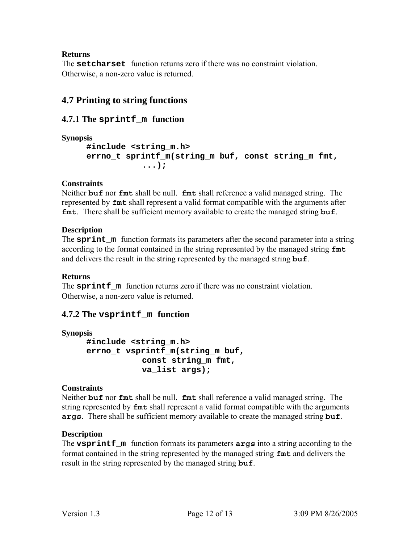# **Returns**

The **setcharset** function returns zero if there was no constraint violation. Otherwise, a non-zero value is returned.

# **4.7 Printing to string functions**

# **4.7.1 The sprintf\_m function**

**Synopsis** 

```
#include <string_m.h> 
errno_t sprintf_m(string_m buf, const string_m fmt, 
            ...);
```
# **Constraints**

Neither **buf** nor **fmt** shall be null. **fmt** shall reference a valid managed string. The represented by **fmt** shall represent a valid format compatible with the arguments after **fmt**. There shall be sufficient memory available to create the managed string **buf**.

# **Description**

The **sprint\_m** function formats its parameters after the second parameter into a string according to the format contained in the string represented by the managed string **fmt** and delivers the result in the string represented by the managed string **buf**.

# **Returns**

The **sprintf** m function returns zero if there was no constraint violation. Otherwise, a non-zero value is returned.

# **4.7.2 The vsprintf\_m function**

**Synopsis** 

**#include <string\_m.h> errno\_t vsprintf\_m(string\_m buf, const string\_m fmt, va\_list args);** 

# **Constraints**

Neither **buf** nor **fmt** shall be null. **fmt** shall reference a valid managed string. The string represented by **fmt** shall represent a valid format compatible with the arguments **args**. There shall be sufficient memory available to create the managed string **buf**.

# **Description**

The **vsprintf\_m** function formats its parameters **args** into a string according to the format contained in the string represented by the managed string **fmt** and delivers the result in the string represented by the managed string **buf**.